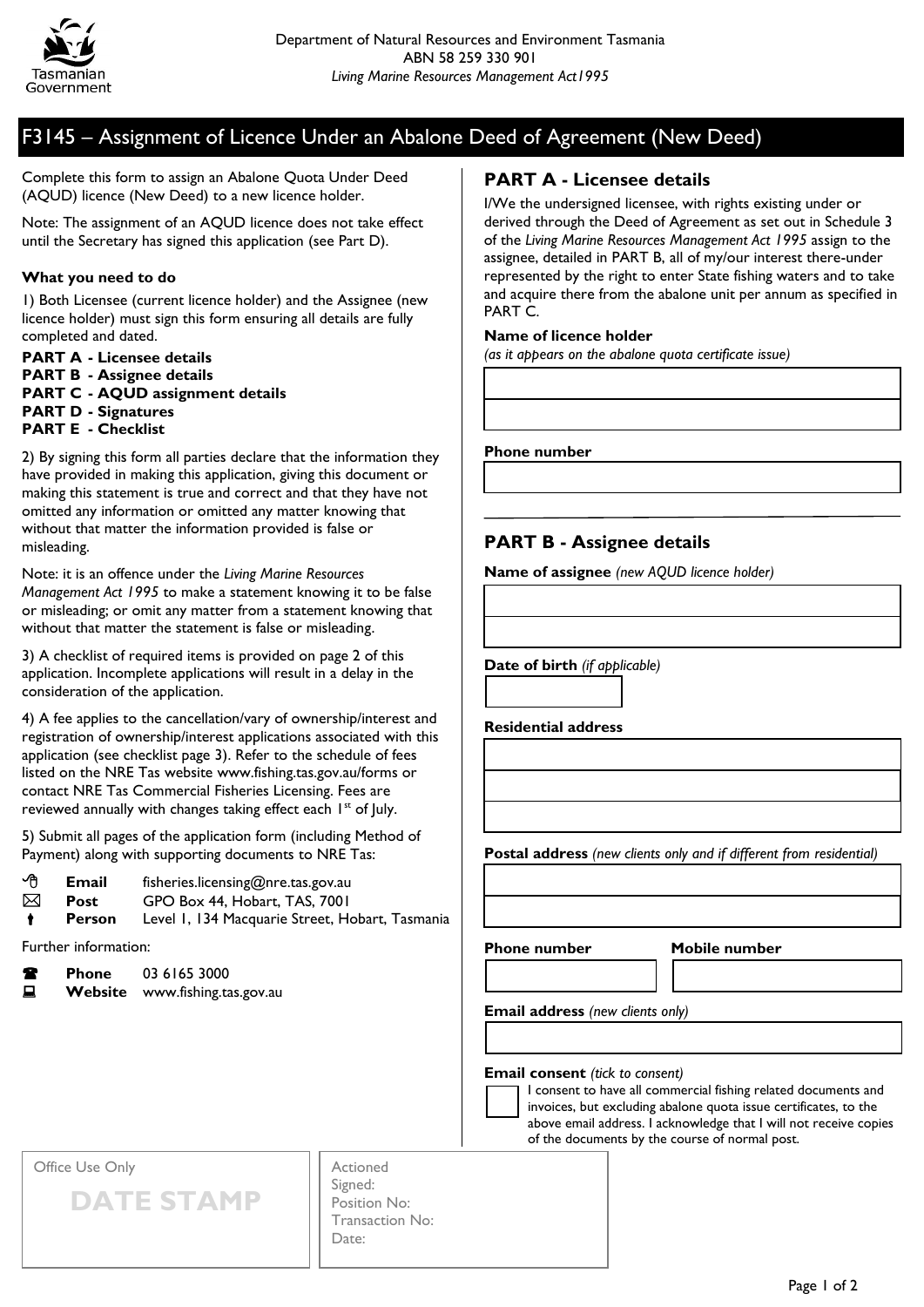

## F3145 – Assignment of Licence Under an Abalone Deed of Agreement (New Deed)

Complete this form to assign an Abalone Quota Under Deed (AQUD) licence (New Deed) to a new licence holder.

Note: The assignment of an AQUD licence does not take effect until the Secretary has signed this application (see Part D).

#### **What you need to do**

1) Both Licensee (current licence holder) and the Assignee (new licence holder) must sign this form ensuring all details are fully completed and dated.

**PART A - Licensee details PART B - Assignee details PART C - AQUD assignment details PART D - Signatures PART E - Checklist**

2) By signing this form all parties declare that the information they have provided in making this application, giving this document or making this statement is true and correct and that they have not omitted any information or omitted any matter knowing that without that matter the information provided is false or misleading.

Note: it is an offence under the *Living Marine Resources Management Act 1995* to make a statement knowing it to be false or misleading; or omit any matter from a statement knowing that without that matter the statement is false or misleading.

3) A checklist of required items is provided on page 2 of this application. Incomplete applications will result in a delay in the consideration of the application.

4) A fee applies to the cancellation/vary of ownership/interest and registration of ownership/interest applications associated with this application (see checklist page 3). Refer to the schedule of fees listed on the NRE Tas website www.fishing.tas.gov.au/forms or contact NRE Tas Commercial Fisheries Licensing. Fees are reviewed annually with changes taking effect each 1<sup>st</sup> of July.

5) Submit all pages of the application form (including Method of Payment) along with supporting documents to NRE Tas:

| ∽∩ | Email         | fisheries.licensing@nre.tas.gov.au              |
|----|---------------|-------------------------------------------------|
| ⊠  | Post          | GPO Box 44, Hobart, TAS, 7001                   |
|    | <b>Person</b> | Level 1, 134 Macquarie Street, Hobart, Tasmania |

Further information:

**Phone** 03 6165 3000

**E** Website www.fishing.tas.gov.au

### **PART A - Licensee details**

I/We the undersigned licensee, with rights existing under or derived through the Deed of Agreement as set out in Schedule 3 of the *Living Marine Resources Management Act 1995* assign to the assignee, detailed in PART B, all of my/our interest there-under represented by the right to enter State fishing waters and to take and acquire there from the abalone unit per annum as specified in PART C.

#### **Name of licence holder**

*(as it appears on the abalone quota certificate issue)*

**Phone number**

### **PART B - Assignee details**

**Name of assignee** *(new AQUD licence holder)*

**Date of birth** *(if applicable)*

**Residential address**

**Postal address** *(new clients only and if different from residential)*

**Phone number Mobile number**

**Email address** *(new clients only)*

**Email consent** *(tick to consent)*

I consent to have all commercial fishing related documents and invoices, but excluding abalone quota issue certificates, to the above email address. I acknowledge that I will not receive copies of the documents by the course of normal post.

Office Use Only

**DATE STAMP**

Actioned Signed: Position No: Transaction No: Date: